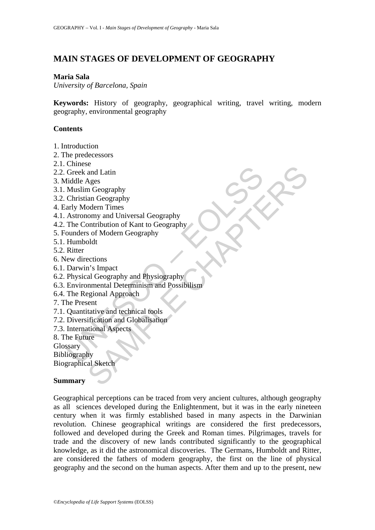# **MAIN STAGES OF DEVELOPMENT OF GEOGRAPHY**

#### **Maria Sala**

*University of Barcelona, Spain* 

**Keywords:** History of geography, geographical writing, travel writing, modern geography, environmental geography

#### **Contents**

- 1. Introduction
- 2. The predecessors
- 2.1. Chinese
- 2.2. Greek and Latin
- 3. Middle Ages
- 3.1. Muslim Geography
- 3.2. Christian Geography
- 4. Early Modern Times
- 4.1. Astronomy and Universal Geography
- 4.2. The Contribution of Kant to Geography
- 5. Founders of Modern Geography
- 5.1. Humboldt
- 5.2. Ritter
- 6. New directions
- 6.1. Darwin's Impact
- 6.2. Physical Geography and Physiography
- Chinese<br>
Greek and Latin<br>
fiddle Ages<br>
Muslim Geography<br>
Christian Geography<br>
Christian Geography<br>
Astronomy and Universal Geography<br>
Ater Archive and Universal Geography<br>
The Contribution of Kant to Geography<br>
Humboldt<br>
R Control and Latin<br>
and Latin<br>
Ages<br>
In Geography<br>
odern Times<br>
omy and Universal Geography<br>
ontribution of Kant to Geography<br>
ontribution of Kant to Geography<br>
al Sketch<br>
and Geography<br>
and Physiography<br>
and Physiography<br> 6.3. Environmental Determinism and Possibilism
- 6.4. The Regional Approach
- 7. The Present
- 7.1. Quantitative and technical tools
- 7.2. Diversification and Globalisation
- 7.3. International Aspects

8. The Future

Glossary

Bibliography

Biographical Sketch

#### **Summary**

Geographical perceptions can be traced from very ancient cultures, although geography as all sciences developed during the Enlightenment, but it was in the early nineteen century when it was firmly established based in many aspects in the Darwinian revolution. Chinese geographical writings are considered the first predecessors, followed and developed during the Greek and Roman times. Pilgrimages, travels for trade and the discovery of new lands contributed significantly to the geographical knowledge, as it did the astronomical discoveries. The Germans, Humboldt and Ritter, are considered the fathers of modern geography, the first on the line of physical geography and the second on the human aspects. After them and up to the present, new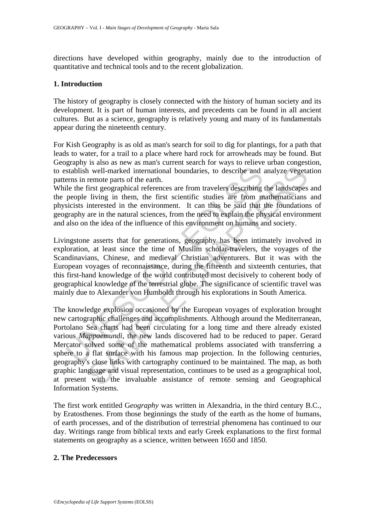directions have developed within geography, mainly due to the introduction of quantitative and technical tools and to the recent globalization.

#### **1. Introduction**

The history of geography is closely connected with the history of human society and its development. It is part of human interests, and precedents can be found in all ancient cultures. But as a science, geography is relatively young and many of its fundamentals appear during the nineteenth century.

For Kish Geography is as old as man's search for soil to dig for plantings, for a path that leads to water, for a trail to a place where hard rock for arrowheads may be found. But Geography is also as new as man's current search for ways to relieve urban congestion, to establish well-marked international boundaries, to describe and analyze vegetation patterns in remote parts of the earth.

While the first geographical references are from travelers describing the landscapes and the people living in them, the first scientific studies are from mathematicians and physicists interested in the environment. It can thus be said that the foundations of geography are in the natural sciences, from the need to explain the physical environment and also on the idea of the influence of this environment on humans and society.

Stablish well-marked international boundaries, to describe and stablish well-marked international boundaries, to describing lecents in the first geographical references are from travelers describing people living in them, Livingstone asserts that for generations, geography has been intimately involved in exploration, at least since the time of Muslim scholar-travelers, the voyages of the Scandinavians, Chinese, and medieval Christian adventurers. But it was with the European voyages of reconnaissance, during the fifteenth and sixteenth centuries, that this first-hand knowledge of the world contributed most decisively to coherent body of geographical knowledge of the terrestrial globe. The significance of scientific travel was mainly due to Alexander von Humboldt through his explorations in South America.

n well-marked international boundaries, to describe and analyze vegeta<br>remote parts of the earth.<br>It well-marked international boundaries, to describe and analyze vegeta<br>remote parts of the earth.<br>It is experimented in the The knowledge explosion occasioned by the European voyages of exploration brought new cartographic challenges and accomplishments. Although around the Mediterranean, Portolano Sea charts had been circulating for a long time and there already existed various *Mappaemundi,* the new lands discovered had to be reduced to paper. Gerard Mercator solved some of the mathematical problems associated with transferring a sphere to a flat surface with his famous map projection. In the following centuries, geography's close links with cartography continued to be maintained. The map, as both graphic language and visual representation, continues to be used as a geographical tool, at present with the invaluable assistance of remote sensing and Geographical Information Systems.

The first work entitled G*eography* was written in Alexandria, in the third century B.C., by Eratosthenes. From those beginnings the study of the earth as the home of humans, of earth processes, and of the distribution of terrestrial phenomena has continued to our day. Writings range from biblical texts and early Greek explanations to the first formal statements on geography as a science, written between 1650 and 1850.

#### **2. The Predecessors**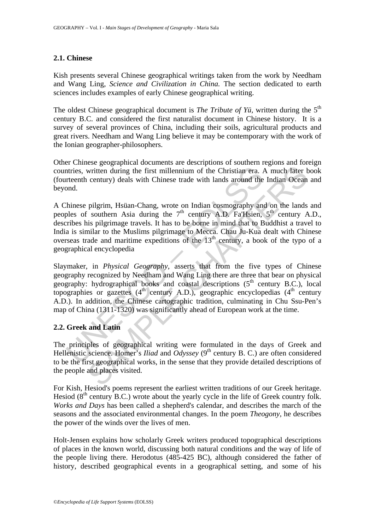### **2.1. Chinese**

Kish presents several Chinese geographical writings taken from the work by Needham and Wang Ling, *Science and Civilization in China.* The section dedicated to earth sciences includes examples of early Chinese geographical writing.

The oldest Chinese geographical document is *The Tribute of Yü*, written during the 5<sup>th</sup> century B.C. and considered the first naturalist document in Chinese history. It is a survey of several provinces of China, including their soils, agricultural products and great rivers. Needham and Wang Ling believe it may be contemporary with the work of the Ionian geographer-philosophers.

Other Chinese geographical documents are descriptions of southern regions and foreign countries, written during the first millennium of the Christian era. A much later book (fourteenth century) deals with Chinese trade with lands around the Indian Ocean and beyond.

A Chinese pilgrim, Hsüan-Chang, wrote on Indian cosmography and on the lands and peoples of southern Asia during the  $7<sup>th</sup>$  century A.D. Fa'Hsien,  $5<sup>th</sup>$  century A.D., describes his pilgrimage travels. It has to be borne in mind that to Buddhist a travel to India is similar to the Muslims pilgrimage to Mecca. Chau Ju-Kua dealt with Chinese overseas trade and maritime expeditions of the  $13<sup>th</sup>$  century, a book of the typo of a geographical encyclopedia

ntries, written during the first millennium of the Christian era. *I*<br>rteenth century) deals with Chinese trade with lands around the<br>ond.<br>Thinese pilgrim, Hsüan-Chang, wrote on Indian cosmography and<br>ples of southern Asi written during the first millennium of the Christian era. A much later to century) deals with Chinese trade with lands around the Indian Ocean pilgrim, Hsüan-Chang, wrote on Indian cosmography and on the lands southern As Slaymaker, in *Physical Geography*, asserts that from the five types of Chinese geography recognized by Needham and Wang Ling there are three that bear on physical geography: hydrographical books and coastal descriptions  $(5<sup>th</sup>$  century B.C.), local topographies or gazettes  $(4<sup>th</sup>$  century A.D.), geographic encyclopedias  $(4<sup>th</sup>$  century A.D.). In addition, the Chinese cartographic tradition, culminating in Chu Ssu-Pen's map of China (1311-1320) was significantly ahead of European work at the time.

## **2.2. Greek and Latin**

The principles of geographical writing were formulated in the days of Greek and Hellenistic science. Homer's *Iliad* and *Odyssey* (9<sup>th</sup> century B. C.) are often considered to be the first geographical works, in the sense that they provide detailed descriptions of the people and places visited.

For Kish, Hesiod's poems represent the earliest written traditions of our Greek heritage. Hesiod  $(8<sup>th</sup>$  century B.C.) wrote about the yearly cycle in the life of Greek country folk. *Works and Days* has been called a shepherd's calendar, and describes the march of the seasons and the associated environmental changes. In the poem *Theogony,* he describes the power of the winds over the lives of men.

Holt-Jensen explains how scholarly Greek writers produced topographical descriptions of places in the known world, discussing both natural conditions and the way of life of the people living there. Herodotus (485-425 BC), although considered the father of history, described geographical events in a geographical setting, and some of his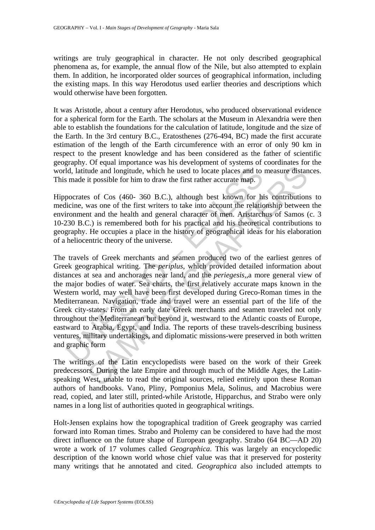writings are truly geographical in character. He not only described geographical phenomena as, for example, the annual flow of the Nile, but also attempted to explain them. In addition, he incorporated older sources of geographical information, including the existing maps. In this way Herodotus used earlier theories and descriptions which would otherwise have been forgotten.

It was Aristotle, about a century after Herodotus, who produced observational evidence for a spherical form for the Earth. The scholars at the Museum in Alexandria were then able to establish the foundations for the calculation of latitude, longitude and the size of the Earth. In the 3rd century B.C., Eratosthenes (276-494, BC) made the first accurate estimation of the length of the Earth circumference with an error of only 90 km in respect to the present knowledge and has been considered as the father of scientific geography. Of equal importance was his development of systems of coordinates for the world, latitude and longitude, which he used to locate places and to measure distances. This made it possible for him to draw the first rather accurate map.

Hippocrates of Cos (460- 360 B.C.), although best known for his contributions to medicine, was one of the first writers to take into account the relationship between the environment and the health and general character of men. Aristarchus of Samos (c. 3 10-230 B.C.) is remembered both for his practical and his theoretical contributions to geography. He occupies a place in the history of geographical ideas for his elaboration of a heliocentric theory of the universe.

Id, latitude and longitude, which he used to locate places and to smade it possible for him to draw the first rather accurate map.<br>pocrates of Cos (460- 360 B.C.), although best known for himiclicine, was one of the first ude and longitude, which he used to locate places and to measure distant it possible for him to draw the first rather accurate map.<br>
s of Cos (460- 360 B.C.), although best known for his contribution<br>
was one of the first The travels of Greek merchants and seamen produced two of the earliest genres of Greek geographical writing. The *periplus*, which provided detailed information about distances at sea and anchorages near land, and the *periegesis,,*a more general view of the major bodies of water. Sea charts, the first relatively accurate maps known in the Western world, may well have been first developed during Greco-Roman times in the Mediterranean. Navigation, trade and travel were an essential part of the life of the Greek city-states. From an early date Greek merchants and seamen traveled not only throughout the Mediterranean but beyond jt, westward to the Atlantic coasts of Europe, eastward to Arabia, Egypt, and India. The reports of these travels-describing business ventures, military undertakings, and diplomatic missions-were preserved in both written and graphic form

The writings of the Latin encyclopedists were based on the work of their Greek predecessors. During the late Empire and through much of the Middle Ages, the Latinspeaking West, unable to read the original sources, relied entirely upon these Roman authors of handbooks. Vano, Pliny, Pomponius Mela, Solinus, and Macrobius were read, copied, and later still, printed-while Aristotle, Hipparchus, and Strabo were only names in a long list of authorities quoted in geographical writings.

Holt-Jensen explains how the topographical tradition of Greek geography was carried forward into Roman times. Strabo and Ptolemy can be considered to have had the most direct influence on the future shape of European geography. Strabo (64 BC—AD 20) wrote a work of 17 volumes called *Geographica*. This was largely an encyclopedic description of the known world whose chief value was that it preserved for posterity many writings that he annotated and cited. *Geographica* also included attempts to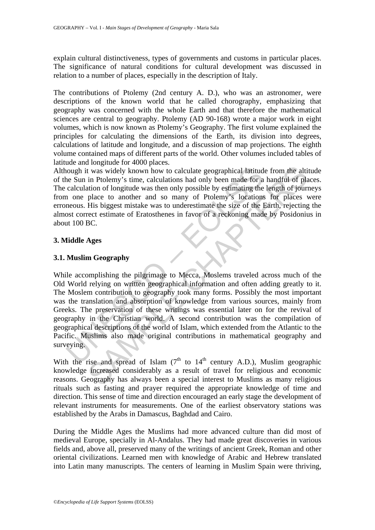explain cultural distinctiveness, types of governments and customs in particular places. The significance of natural conditions for cultural development was discussed in relation to a number of places, especially in the description of Italy.

The contributions of Ptolemy (2nd century A. D.), who was an astronomer, were descriptions of the known world that he called chorography, emphasizing that geography was concerned with the whole Earth and that therefore the mathematical sciences are central to geography. Ptolemy (AD 90-168) wrote a major work in eight volumes, which is now known as Ptolemy's Geography. The first volume explained the principles for calculating the dimensions of the Earth, its division into degrees, calculations of latitude and longitude, and a discussion of map projections. The eighth volume contained maps of different parts of the world. Other volumes included tables of latitude and longitude for 4000 places.

Although it was widely known how to calculate geographical latitude from the altitude of the Sun in Ptolemy's time, calculations had only been made for a handful of places. The calculation of longitude was then only possible by estimating the length of journeys from one place to another and so many of Ptolemy's locations for places were erroneous. His biggest mistake was to underestimate the size of the Earth, rejecting the almost correct estimate of Eratosthenes in favor of a reckoning made by Posidonius in about 100 BC.

### **3. Middle Ages**

### **3.1. Muslim Geography**

lough it was widely known how to calculate geographical latitud<br>ne Sun in Ptolemy's time, calculations had only been made for a<br>calculation of longitude was then only possible by estimating the<br>neous. His biggest mistake t was widely known how to calculate geographical latitude from the alti<br>in Ptolemy's time, calculations had only been made for a handful of plation<br>of longitude was then only possible by estimating the length of pour<br>plac While accomplishing the pilgrimage to Mecca, Moslems traveled across much of the Old World relying on written geographical information and often adding greatly to it. The Moslem contribution to geography took many forms. Possibly the most important was the translation and absorption of knowledge from various sources, mainly from Greeks. The preservation of these writings was essential later on for the revival of geography in the Christian world. A second contribution was the compilation of geographical descriptions of the world of Islam, which extended from the Atlantic to the Pacific. Muslims also made original contributions in mathematical geography and surveying.

With the rise and spread of Islam  $(7<sup>th</sup>$  to  $14<sup>th</sup>$  century A.D.), Muslim geographic knowledge increased considerably as a result of travel for religious and economic reasons. Geography has always been a special interest to Muslims as many religious rituals such as fasting and prayer required the appropriate knowledge of time and direction. This sense of time and direction encouraged an early stage the development of relevant instruments for measurements. One of the earliest observatory stations was established by the Arabs in Damascus, Baghdad and Cairo.

During the Middle Ages the Muslims had more advanced culture than did most of medieval Europe, specially in Al-Andalus. They had made great discoveries in various fields and, above all, preserved many of the writings of ancient Greek, Roman and other oriental civilizations. Learned men with knowledge of Arabic and Hebrew translated into Latin many manuscripts. The centers of learning in Muslim Spain were thriving,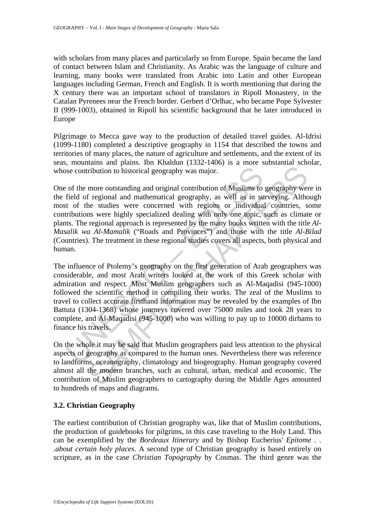with scholars from many places and particularly so from Europe. Spain became the land of contact between Islam and Christianity. As Arabic was the language of culture and learning, many books were translated from Arabic into Latin and other European languages including German, French and English. It is worth mentioning that during the X century there was an important school of translators in Ripoll Monastery, in the Catalan Pyrenees near the French border. Gerbert d'Orlhac, who became Pope Sylvester II (999-1003), obtained in Ripoll his scientific background that he later introduced in Europe

Pilgrimage to Mecca gave way to the production of detailed travel guides. Al-Idrisi (1099-1180) completed a descriptive geography in 1154 that described the towns and territories of many places, the nature of agriculture and settlements, and the extent of its seas, mountains and plains. Ibn Khaldun (1332-1406) is a more substantial scholar, whose contribution to historical geography was major.

is contribution to historical geography was major.<br>
of the more outstanding and original contribution of Muslims to<br>
field of regional and mathematical geography, as well as in su<br>
to of the studies were concerned with reg Iribution to historical geography was major.<br>
more outstanding and original contribution of Muslims to geography we<br>
f regional and mathematical geography, as well as in surveying. Althe<br>
he studies were concerned with reg One of the more outstanding and original contribution of Muslims to geography were in the field of regional and mathematical geography, as well as in surveying. Although most of the studies were concerned with regions or individual countries, some contributions were highly specialized dealing with only one topic, such as climate or plants. The regional approach is represented by the many books written with the title *Al-Masalik wa Al-Mamalik* ("Roads and Provinces") and those with the title *Al-Bilad* (Countries). The treatment in these regional studies covers all aspects, both physical and human.

The influence of Ptolemy's geography on the first generation of Arab geographers was considerable, and most Arab writers looked at the work of this Greek scholar with admiration and respect. Most Muslim geographers such as Al-Maqadisi (945-1000) followed the scientific method in compiling their works. The zeal of the Muslims to travel to collect accurate firsthand information may be revealed by the examples of Ibn Battuta (1304-1368) whose journeys covered over 75000 miles and took 28 years to complete, and Al-Maqadisi (945-1000) who was willing to pay up to 10000 dirhams to finance his travels.

On the whole it may be said that Muslim geographers paid less attention to the physical aspects of geography as compared to the human ones. Nevertheless there was reference to landforms, oceanography, climatology and biogeography. Human geography covered almost all the modern branches, such as cultural, urban, medical and economic. The contribution of Muslim geographers to cartography during the Middle Ages amounted to hundreds of maps and diagrams.

## **3.2. Christian Geography**

The earliest contribution of Christian geography was, like that of Muslim contributions, the production of guidebooks for pilgrims, in this case traveling to the Holy Land. This can be exemplified by the *Bordeaux Itinerary* and by Bishop Eucherius' *Epitome . . .about certain holy places.* A second type of Christian geography is based entirely on scripture, as in the case *Christian Topography* by Cosmas. The third genre was the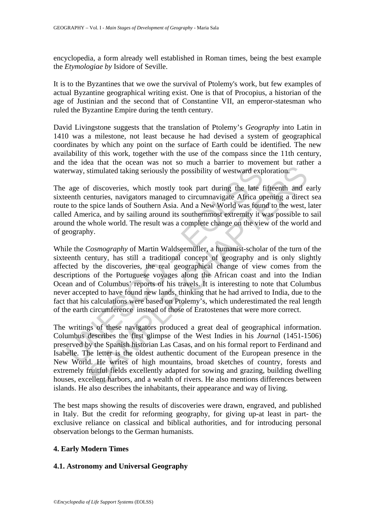encyclopedia, a form already well established in Roman times, being the best example the *Etymologiae by* Isidore of Seville.

It is to the Byzantines that we owe the survival of Ptolemy's work, but few examples of actual Byzantine geographical writing exist. One is that of Procopius, a historian of the age of Justinian and the second that of Constantine VII, an emperor-statesman who ruled the Byzantine Empire during the tenth century.

David Livingstone suggests that the translation of Ptolemy's *Geography* into Latin in 1410 was a milestone, not least because he had devised a system of geographical coordinates by which any point on the surface of Earth could be identified. The new availability of this work, together with the use of the compass since the 11th century, and the idea that the ocean was not so much a barrier to movement but rather a waterway, stimulated taking seriously the possibility of westward exploration.

The age of discoveries, which mostly took part during the late fifteenth and early sixteenth centuries, navigators managed to circumnavigate Africa opening a direct sea route to the spice lands of Southern Asia. And a New World was found to the west, later called America, and by sailing around its southernmost extremity it was possible to sail around the whole world. The result was a complete change on the view of the world and of geography.

ervay, stimulated taking seriously the possibility of westward exp<br>age of discoveries, which mostly took part during the late f<br>ease of chemicies, navigators managed to circumnavigate Africa op<br>e to the spice lands of Sout stimulated taking seriously the possibility of westward exploration.<br>
In stimulated taking seriously the possibility of westward exploration.<br>
In discoveries, which mostly took part during the late fifteenth and enturies, While the *Cosmography* of Martin Waldseemüller, a humanist-scholar of the turn of the sixteenth century, has still a traditional concept of geography and is only slightly affected by the discoveries, the real geographical change of view comes from the descriptions of the Portuguese voyages along the African coast and into the Indian Ocean and of Columbus' reports of his travels. It is interesting to note that Columbus never accepted to have found new lands, thinking that he had arrived to India, due to the fact that his calculations were based on Ptolemy's, which underestimated the real length of the earth circumference instead of those of Eratostenes that were more correct.

The writings of these navigators produced a great deal of geographical information. Columbus describes the first glimpse of the West Indies in his *Journa*l (1451-1506) preserved by the Spanish historian Las Casas, and on his formal report to Ferdinand and Isabelle. The letter is the oldest authentic document of the European presence in the New World. He writes of high mountains, broad sketches of country, forests and extremely fruitful fields excellently adapted for sowing and grazing, building dwelling houses, excellent harbors, and a wealth of rivers. He also mentions differences between islands. He also describes the inhabitants, their appearance and way of living.

The best maps showing the results of discoveries were drawn, engraved, and published in Italy. But the credit for reforming geography, for giving up-at least in part- the exclusive reliance on classical and biblical authorities, and for introducing personal observation belongs to the German humanists.

## **4. Early Modern Times**

#### **4.1. Astronomy and Universal Geography**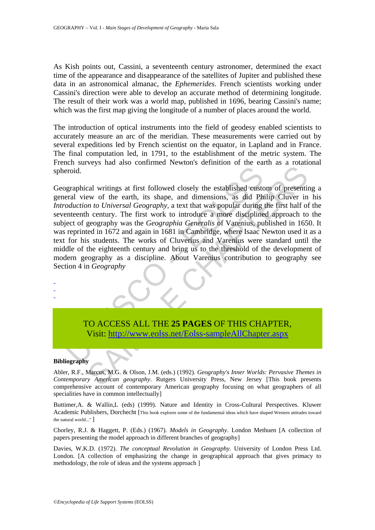As Kish points out, Cassini, a seventeenth century astronomer, determined the exact time of the appearance and disappearance of the satellites of Jupiter and published these data in an astronomical almanac, the *Ephemerides*. French scientists working under Cassini's direction were able to develop an accurate method of determining longitude. The result of their work was a world map, published in 1696, bearing Cassini's name; which was the first map giving the longitude of a number of places around the world.

The introduction of optical instruments into the field of geodesy enabled scientists to accurately measure an arc of the meridian. These measurements were carried out by several expeditions led by French scientist on the equator, in Lapland and in France. The final computation led, in 1791, to the establishment of the metric system. The French surveys had also confirmed Newton's definition of the earth as a rotational spheroid.

eroid.<br>
Seraral view of the earth, its shape, and dimensions, as did Phrace and view of the earth, its shape, and dimensions, as did Phrace and the control of Universal Geography, a text that was popular during enterent ce Cal writings at first followed closely the established custom of presentiative of the earth, its shape, and dimensions, as did Philip Cluver in to Universal Geography, a text that was popular during the first half of a cen Geographical writings at first followed closely the established custom of presenting a general view of the earth, its shape, and dimensions, as did Philip Cluver in his *Introduction to Universal Geography,* a text that was popular during the first half of the seventeenth century. The first work to introduce a more disciplined approach to the subject of geography was the *Geographia Generalis* of Varenius, published in 1650. It was reprinted in 1672 and again in 1681 in Cambridge, where Isaac Newton used it as a text for his students. The works of Cluverius and Varenius were standard until the middle of the eighteenth century and bring us to the threshold of the development of modern geography as a discipline. About Varenius contribution to geography see Section 4 in *Geography*

# TO ACCESS ALL THE **25 PAGES** OF THIS CHAPTER, Visit: http://www.eolss.net/Eolss-sampleAllChapter.aspx

#### **Bibliography**

- - -

Abler, R.F., Marcus, M.G. & Olson, J.M. (eds.) (1992). *Geography's Inner Worlds: Pervasive Themes in Contemporary American geography*. Rutgers University Press, New Jersey [This book presents comprehensive account of contemporary American geography focusing on what geographers of all specialities have in common intellectually]

Buttimer,A. & Wallin,L (eds) (1999). Nature and Identity in Cross-Cultural Perspectives. Kluwer Academic Publishers, Dorchecht [This book explores some of the fundamental ideas which have shaped Western attitudes toward the natural world..." ]

Chorley, R.J. & Haggett, P. (Eds.) (1967). *Models in Geography*. London Methuen [A collection of papers presenting the model approach in different branches of geography]

Davies, W.K.D. (1972). *The conceptual Revolution in Geography.* University of London Press Ltd. London. [A collection of emphasizing the change in geographical approach that gives primacy to methodology, the role of ideas and the systems approach ]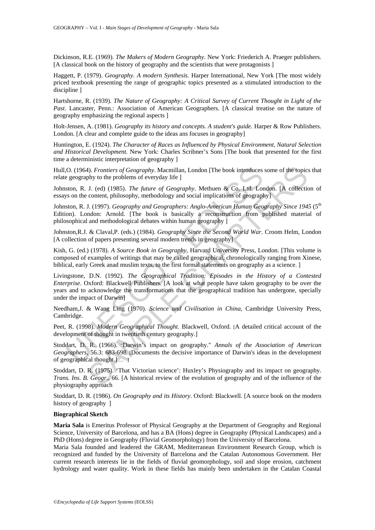Dickinson, R.E. (1969). *The Makers of Modern Geography*. New York: Friederich A. Praeger publishers. [A classical book on the history of geography and the scientists that were protagonists ]

Haggett, P. (1979). *Geography. A modern Synthesis*. Harper International, New York [The most widely priced textbook presenting the range of geographic topics presented as a stimulated introduction to the discipline ]

Hartshorne, R. (1939). *The Nature of Geography: A Critical Survey of Current Thought in Light of the Past*. Lancaster, Penn.: Association of American Geographers. [A classical treatise on the nature of geography emphasizing the regional aspects ]

Holt-Jensen, A. (1981). *Geography its history and concepts. A student's guide.* Harper & Row Publishers. London. [A clear and complete guide to the ideas ans focuses in geography]

Huntington, E. (1924). *The Character of Races as Influenced by Physical Environment, Natural Selection and Historical Development*. New York: Charles Scribner's Sons [The book that presented for the first time a deterministic interpretation of geography ]

Hull,O. (1964). *Frontiers of Geography*. Macmillan, London [The book introduces some of the topics that relate geography to the problems of everyday life ]

Johnston, R. J. (ed) (1985). *The future of Geography*. Methuen & Co. Ltd. London. [A collection of essays on the content, philosophy, methodology and social implications of geography]

Johnston, R. J. (1997). *Geography and Geographers: Anglo-American Human Geography Since 1945* (5<sup>th</sup> Edition). London: Arnold. [The book is basically a reconstruction from published material of philosophical and methodological debates within human geography ]

Johnston,R.J. & Claval,P. (eds.) (1984). *Geography Since the Second World War*. Croom Helm, London [A collection of papers presenting several modern trends in geography]

Kish, G. (ed.) (1978). *A Source Book in Geography*, Harvard University Press, London. [This volume is composed of examples of writings that may be called geographical, chronologically ranging from Xinese, biblical, early Greek anad muslim texts, to the first formal statements on geography as a science. ]

O. (1964). *Frontiers of Geography*. Macmillan, London [The book introduces geography to the problems of everyday life ]<br>ston, R. J. (ed) (1985). *The future of Geography*. Methuen & Co. Ltd. Lor<br>son the content, philosoph 4). *Frontiers of Geography*. Macmillan, London [The book introduces some of the topics<br>
1). (ed) (1985). The future of Geography. Methuen & Co. Ltd. London. [A collectic<br>
1). (ed) (1987). *Geography, methodology and soci* Livingstone, D.N. (1992). *The Geographical Tradition: Episodes in the History of a Contested Enterprise*. Oxford: Blackwell Publishers. [A look at what people have taken geography to be over the years and to acknowledge the transformations that the geographical tradition has undergone, specially under the impact of Darwin]

Needham,J. & Wang Ling (1970). *Science and Civilisation in China*, Cambridge University Press, Cambridge.

Peet, R. (1998). *Modern Geographical Thought*. Blackwell, Oxford. [A detailed critical account of the development of thought in twentieth century geography.]

Stoddart, D. R. (1966). "Darwin's impact on geography." *Annals of the Association of American Geographers*, 56.3: 683-698. [Documents the decisive importance of Darwin's ideas in the development of geographical thought.] … ]

Stoddart, D. R. (1975). 'That Victorian science': Huxley's Physiography and its impact on geography. *Trans. Ins. B. Geogr*., 66. [A historical review of the evolution of geography and of the influence of the physiography approach

Stoddart, D. R. (1986). *On Geography and its History*. Oxford: Blackwell. [A source book on the modern history of geography ]

#### **Biographical Sketch**

**Maria Sala** is Emeritus Professor of Physical Geography at the Department of Geography and Regional Science, University of Barcelona, and has a BA (Hons) degree in Geography (Physical Landscapes) and a PhD (Hons) degree in Geography (Fluvial Geomorphology) from the University of Barcelona.

Maria Sala founded and leadered the GRAM, Mediterranean Environment Research Group, which is recognized and funded by the University of Barcelona and the Catalan Autonomous Government. Her current research interests lie in the fields of fluvial geomorphology, soil and slope erosion, catchment hydrology and water quality. Work in these fields has mainly been undertaken in the Catalan Coastal